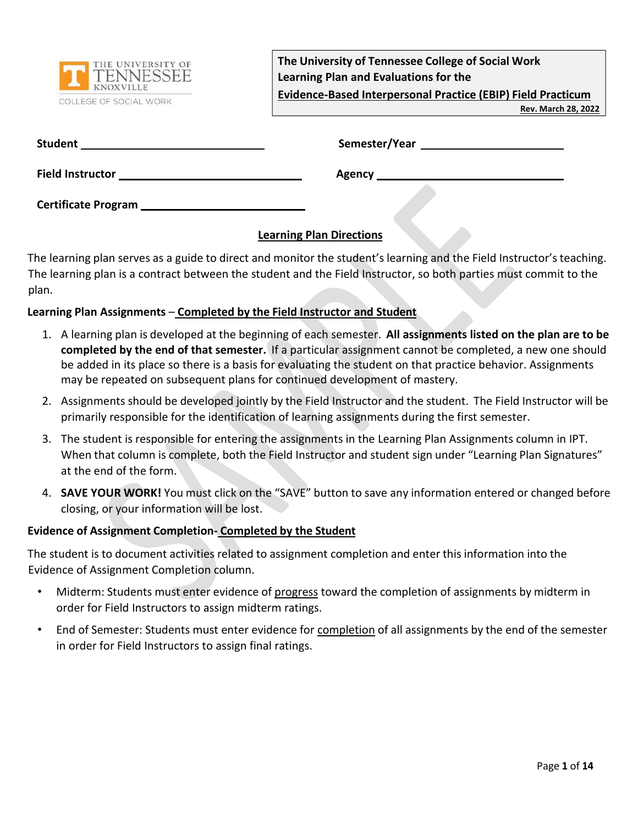

**The University of Tennessee College of Social Work Learning Plan and Evaluations for the Evidence-Based Interpersonal Practice (EBIP) Field Practicum**

**Rev. March 28, 2022**

| <b>Student</b> | Semester/Year |
|----------------|---------------|
|                |               |

**Field Instructor Agency** 

**Certificate Program** 

## **Learning Plan Directions**

The learning plan serves as a guide to direct and monitor the student's learning and the Field Instructor's teaching. The learning plan is a contract between the student and the Field Instructor, so both parties must commit to the plan.

### **Learning Plan Assignments** – **Completed by the Field Instructor and Student**

- 1. A learning plan is developed at the beginning of each semester. **All assignments listed on the plan are to be completed by the end of that semester.** If a particular assignment cannot be completed, a new one should be added in its place so there is a basis for evaluating the student on that practice behavior. Assignments may be repeated on subsequent plans for continued development of mastery.
- 2. Assignments should be developed jointly by the Field Instructor and the student. The Field Instructor will be primarily responsible for the identification of learning assignments during the first semester.
- 3. The student is responsible for entering the assignments in the Learning Plan Assignments column in IPT. When that column is complete, both the Field Instructor and student sign under "Learning Plan Signatures" at the end of the form.
- 4. **SAVE YOUR WORK!** You must click on the "SAVE" button to save any information entered or changed before closing, or your information will be lost.

#### **Evidence of Assignment Completion- Completed by the Student**

The student is to document activities related to assignment completion and enter this information into the Evidence of Assignment Completion column.

- Midterm: Students must enter evidence of progress toward the completion of assignments by midterm in order for Field Instructors to assign midterm ratings.
- End of Semester: Students must enter evidence for completion of all assignments by the end of the semester in order for Field Instructors to assign final ratings.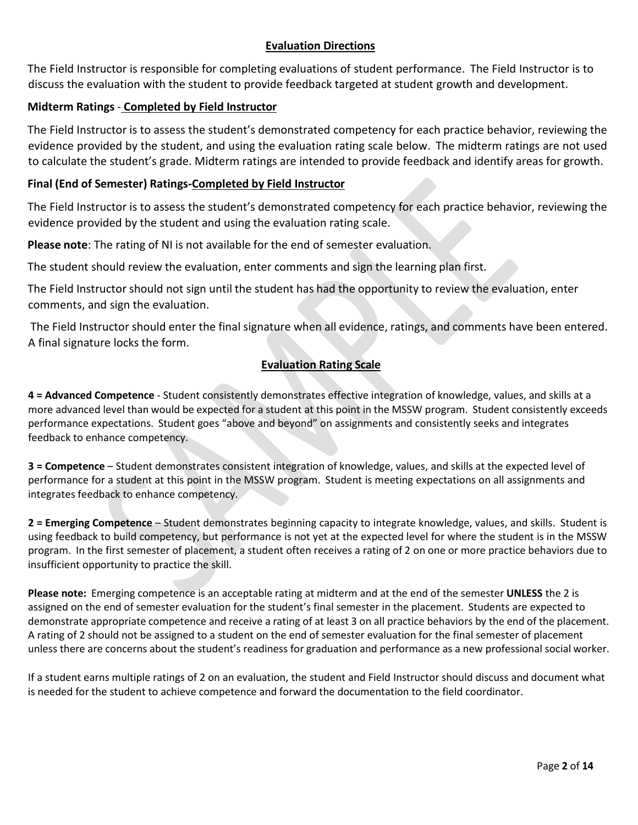#### **Evaluation Directions**

The Field Instructor is responsible for completing evaluations of student performance. The Field Instructor is to discuss the evaluation with the student to provide feedback targeted at student growth and development.

#### **Midterm Ratings** - **Completed by Field Instructor**

The Field Instructor is to assess the student's demonstrated competency for each practice behavior, reviewing the evidence provided by the student, and using the evaluation rating scale below. The midterm ratings are not used to calculate the student's grade. Midterm ratings are intended to provide feedback and identify areas for growth.

#### **Final (End of Semester) Ratings-Completed by Field Instructor**

The Field Instructor is to assess the student's demonstrated competency for each practice behavior, reviewing the evidence provided by the student and using the evaluation rating scale.

**Please note**: The rating of NI is not available for the end of semester evaluation.

The student should review the evaluation, enter comments and sign the learning plan first.

The Field Instructor should not sign until the student has had the opportunity to review the evaluation, enter comments, and sign the evaluation.

The Field Instructor should enter the final signature when all evidence, ratings, and comments have been entered. A final signature locks the form.

#### **Evaluation Rating Scale**

**4 = Advanced Competence** - Student consistently demonstrates effective integration of knowledge, values, and skills at a more advanced level than would be expected for a student at this point in the MSSW program. Student consistently exceeds performance expectations. Student goes "above and beyond" on assignments and consistently seeks and integrates feedback to enhance competency.

**3 = Competence** – Student demonstrates consistent integration of knowledge, values, and skills at the expected level of performance for a student at this point in the MSSW program. Student is meeting expectations on all assignments and integrates feedback to enhance competency.

**2 = Emerging Competence** – Student demonstrates beginning capacity to integrate knowledge, values, and skills. Student is using feedback to build competency, but performance is not yet at the expected level for where the student is in the MSSW program. In the first semester of placement, a student often receives a rating of 2 on one or more practice behaviors due to insufficient opportunity to practice the skill.

**Please note:** Emerging competence is an acceptable rating at midterm and at the end of the semester **UNLESS** the 2 is assigned on the end of semester evaluation for the student's final semester in the placement. Students are expected to demonstrate appropriate competence and receive a rating of at least 3 on all practice behaviors by the end of the placement. A rating of 2 should not be assigned to a student on the end of semester evaluation for the final semester of placement unless there are concerns about the student's readiness for graduation and performance as a new professional social worker.

If a student earns multiple ratings of 2 on an evaluation, the student and Field Instructor should discuss and document what is needed for the student to achieve competence and forward the documentation to the field coordinator.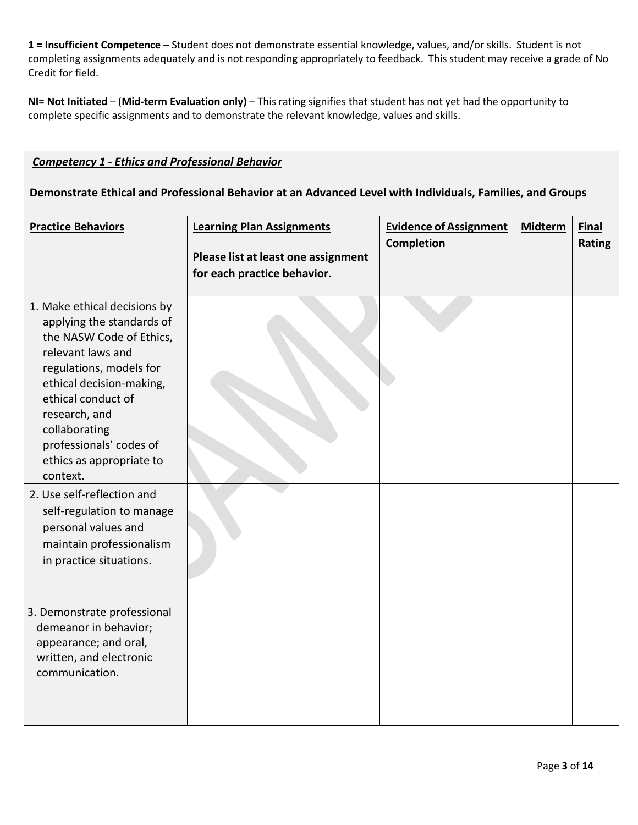**1 = Insufficient Competence** – Student does not demonstrate essential knowledge, values, and/or skills. Student is not completing assignments adequately and is not responding appropriately to feedback. This student may receive a grade of No Credit for field.

**NI= Not Initiated** – (**Mid-term Evaluation only)** – This rating signifies that student has not yet had the opportunity to complete specific assignments and to demonstrate the relevant knowledge, values and skills.

#### *Competency 1 - Ethics and Professional Behavior*

**Demonstrate Ethical and Professional Behavior at an Advanced Level with Individuals, Families, and Groups**

| <b>Practice Behaviors</b>                                                                                                                                                                                                                                                                    | <b>Learning Plan Assignments</b><br>Please list at least one assignment<br>for each practice behavior. | <b>Evidence of Assignment</b><br>Completion | <b>Midterm</b> | <b>Final</b><br>Rating |
|----------------------------------------------------------------------------------------------------------------------------------------------------------------------------------------------------------------------------------------------------------------------------------------------|--------------------------------------------------------------------------------------------------------|---------------------------------------------|----------------|------------------------|
| 1. Make ethical decisions by<br>applying the standards of<br>the NASW Code of Ethics,<br>relevant laws and<br>regulations, models for<br>ethical decision-making,<br>ethical conduct of<br>research, and<br>collaborating<br>professionals' codes of<br>ethics as appropriate to<br>context. |                                                                                                        |                                             |                |                        |
| 2. Use self-reflection and<br>self-regulation to manage<br>personal values and<br>maintain professionalism<br>in practice situations.                                                                                                                                                        |                                                                                                        |                                             |                |                        |
| 3. Demonstrate professional<br>demeanor in behavior;<br>appearance; and oral,<br>written, and electronic<br>communication.                                                                                                                                                                   |                                                                                                        |                                             |                |                        |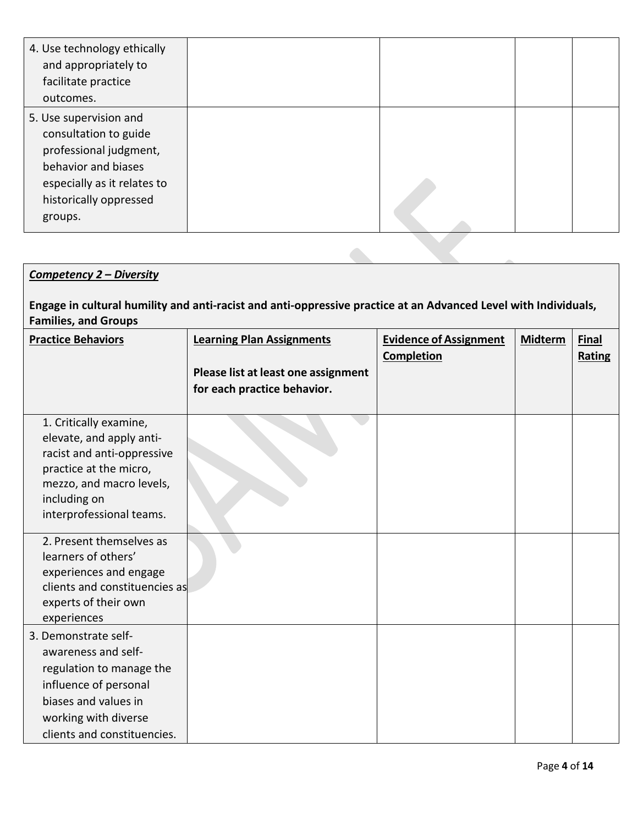| 4. Use technology ethically<br>and appropriately to                                                                                                                  |  |  |
|----------------------------------------------------------------------------------------------------------------------------------------------------------------------|--|--|
| facilitate practice<br>outcomes.                                                                                                                                     |  |  |
| 5. Use supervision and<br>consultation to guide<br>professional judgment,<br>behavior and biases<br>especially as it relates to<br>historically oppressed<br>groups. |  |  |

# *Competency 2 – Diversity*

# **Engage in cultural humility and anti-racist and anti-oppressive practice at an Advanced Level with Individuals, Families, and Groups**

| <b>Practice Behaviors</b>                                                                                                                                                          | <b>Learning Plan Assignments</b><br>Please list at least one assignment<br>for each practice behavior. | <b>Evidence of Assignment</b><br><b>Completion</b> | <b>Midterm</b> | <b>Final</b><br>Rating |
|------------------------------------------------------------------------------------------------------------------------------------------------------------------------------------|--------------------------------------------------------------------------------------------------------|----------------------------------------------------|----------------|------------------------|
| 1. Critically examine,<br>elevate, and apply anti-<br>racist and anti-oppressive<br>practice at the micro,<br>mezzo, and macro levels,<br>including on<br>interprofessional teams. |                                                                                                        |                                                    |                |                        |
| 2. Present themselves as<br>learners of others'<br>experiences and engage<br>clients and constituencies as<br>experts of their own<br>experiences                                  |                                                                                                        |                                                    |                |                        |
| 3. Demonstrate self-<br>awareness and self-<br>regulation to manage the<br>influence of personal<br>biases and values in<br>working with diverse<br>clients and constituencies.    |                                                                                                        |                                                    |                |                        |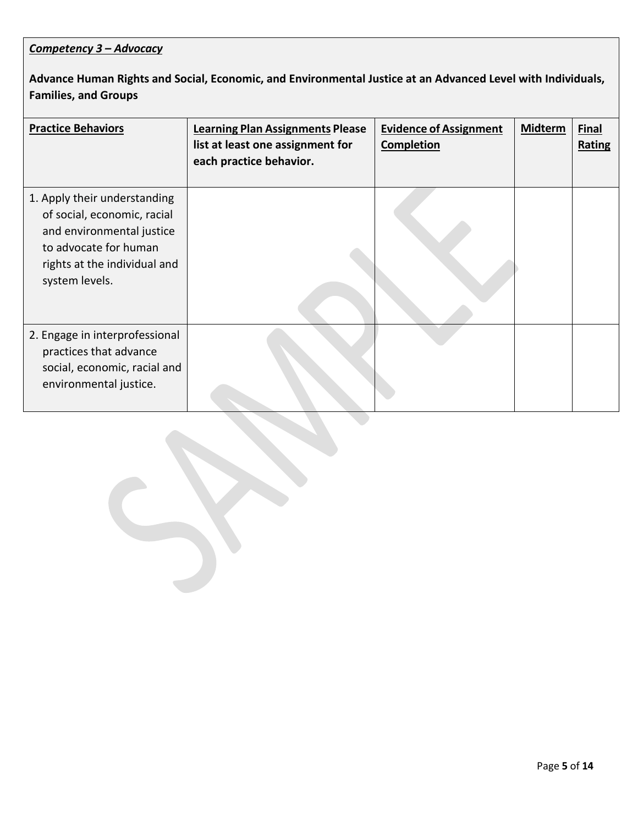## *Competency 3 – Advocacy*

**Advance Human Rights and Social, Economic, and Environmental Justice at an Advanced Level with Individuals, Families, and Groups**

| <b>Practice Behaviors</b>                                                                                                                                           | <b>Learning Plan Assignments Please</b><br>list at least one assignment for<br>each practice behavior. | <b>Evidence of Assignment</b><br><b>Completion</b> | <b>Midterm</b> | <b>Final</b><br>Rating |
|---------------------------------------------------------------------------------------------------------------------------------------------------------------------|--------------------------------------------------------------------------------------------------------|----------------------------------------------------|----------------|------------------------|
| 1. Apply their understanding<br>of social, economic, racial<br>and environmental justice<br>to advocate for human<br>rights at the individual and<br>system levels. |                                                                                                        |                                                    |                |                        |
| 2. Engage in interprofessional<br>practices that advance<br>social, economic, racial and<br>environmental justice.                                                  |                                                                                                        |                                                    |                |                        |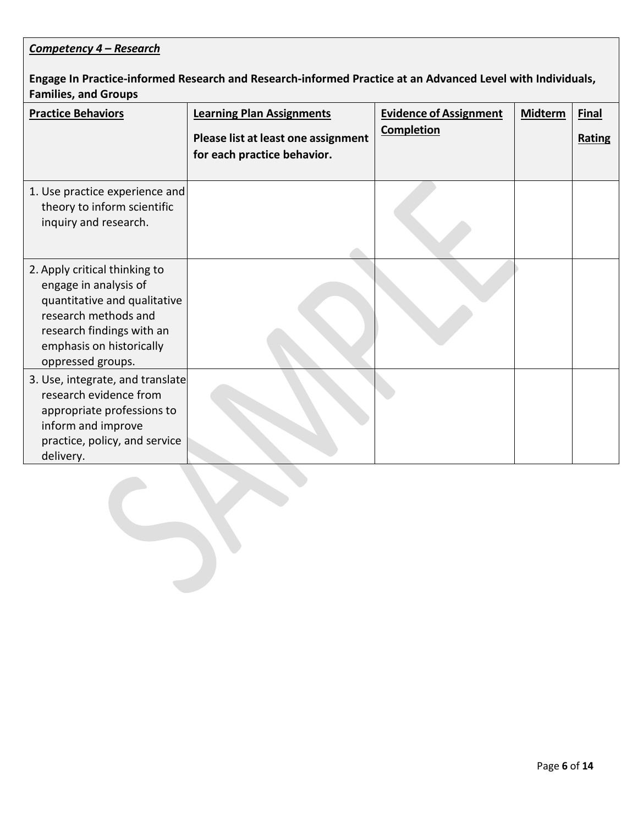## *Competency 4 – Research*

## **Engage In Practice-informed Research and Research-informed Practice at an Advanced Level with Individuals, Families, and Groups**

| <b>Practice Behaviors</b>                                                                                                                                                                    | <b>Learning Plan Assignments</b><br>Please list at least one assignment<br>for each practice behavior. | <b>Evidence of Assignment</b><br><b>Completion</b> | <b>Midterm</b> | <b>Final</b><br>Rating |
|----------------------------------------------------------------------------------------------------------------------------------------------------------------------------------------------|--------------------------------------------------------------------------------------------------------|----------------------------------------------------|----------------|------------------------|
| 1. Use practice experience and<br>theory to inform scientific<br>inquiry and research.                                                                                                       |                                                                                                        |                                                    |                |                        |
| 2. Apply critical thinking to<br>engage in analysis of<br>quantitative and qualitative<br>research methods and<br>research findings with an<br>emphasis on historically<br>oppressed groups. |                                                                                                        |                                                    |                |                        |
| 3. Use, integrate, and translate<br>research evidence from<br>appropriate professions to<br>inform and improve<br>practice, policy, and service<br>delivery.                                 |                                                                                                        |                                                    |                |                        |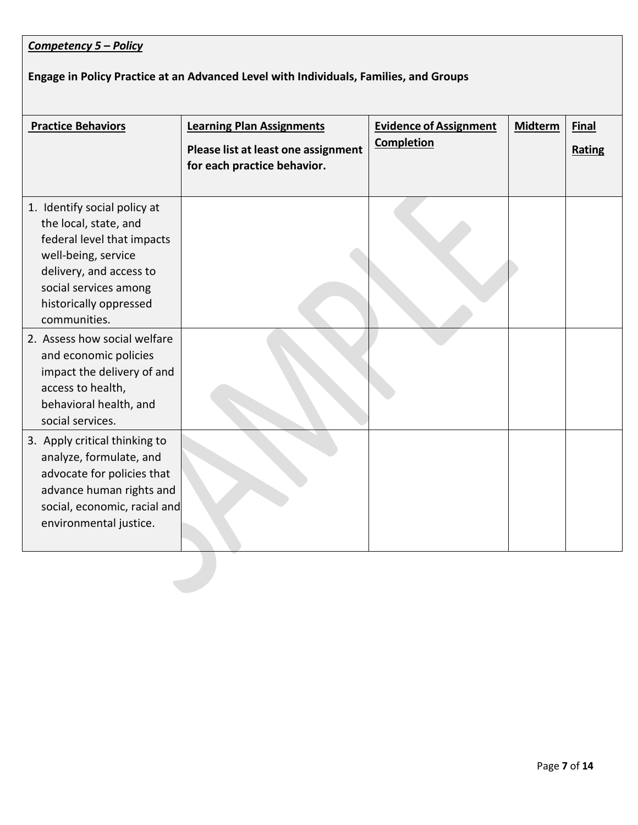## *Competency 5 – Policy*

# **Engage in Policy Practice at an Advanced Level with Individuals, Families, and Groups**

| <b>Practice Behaviors</b>                                                                                                                                                                                | <b>Learning Plan Assignments</b><br>Please list at least one assignment<br>for each practice behavior. | <b>Evidence of Assignment</b><br><b>Completion</b> | <b>Midterm</b> | <b>Final</b><br>Rating |
|----------------------------------------------------------------------------------------------------------------------------------------------------------------------------------------------------------|--------------------------------------------------------------------------------------------------------|----------------------------------------------------|----------------|------------------------|
| 1. Identify social policy at<br>the local, state, and<br>federal level that impacts<br>well-being, service<br>delivery, and access to<br>social services among<br>historically oppressed<br>communities. |                                                                                                        |                                                    |                |                        |
| 2. Assess how social welfare<br>and economic policies<br>impact the delivery of and<br>access to health,<br>behavioral health, and<br>social services.                                                   |                                                                                                        |                                                    |                |                        |
| 3. Apply critical thinking to<br>analyze, formulate, and<br>advocate for policies that<br>advance human rights and<br>social, economic, racial and<br>environmental justice.                             |                                                                                                        |                                                    |                |                        |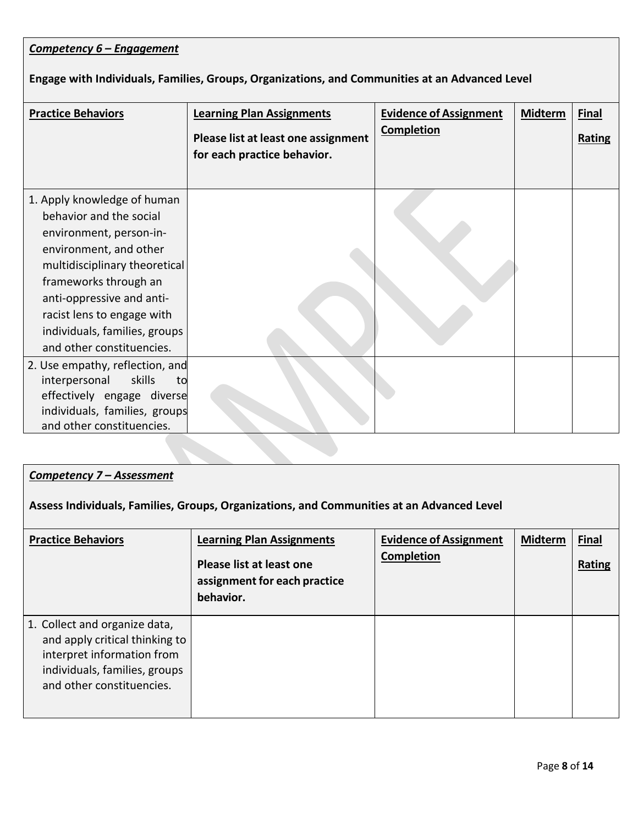| Competency 6 – Engagement                                                                                                                                                                                                                                                                      |                                                                                                        |                                                    |                |                               |
|------------------------------------------------------------------------------------------------------------------------------------------------------------------------------------------------------------------------------------------------------------------------------------------------|--------------------------------------------------------------------------------------------------------|----------------------------------------------------|----------------|-------------------------------|
| Engage with Individuals, Families, Groups, Organizations, and Communities at an Advanced Level                                                                                                                                                                                                 |                                                                                                        |                                                    |                |                               |
| <b>Practice Behaviors</b>                                                                                                                                                                                                                                                                      | <b>Learning Plan Assignments</b><br>Please list at least one assignment<br>for each practice behavior. | <b>Evidence of Assignment</b><br><b>Completion</b> | <b>Midterm</b> | <b>Final</b><br><b>Rating</b> |
| 1. Apply knowledge of human<br>behavior and the social<br>environment, person-in-<br>environment, and other<br>multidisciplinary theoretical<br>frameworks through an<br>anti-oppressive and anti-<br>racist lens to engage with<br>individuals, families, groups<br>and other constituencies. |                                                                                                        |                                                    |                |                               |
| 2. Use empathy, reflection, and<br>interpersonal<br>skills<br>to<br>effectively engage diverse<br>individuals, families, groups<br>and other constituencies.                                                                                                                                   |                                                                                                        |                                                    |                |                               |

## *Competency 7 – Assessment*

**Assess Individuals, Families, Groups, Organizations, and Communities at an Advanced Level**

| <b>Practice Behaviors</b>                                                                                                                                   | <b>Learning Plan Assignments</b><br>Please list at least one<br>assignment for each practice<br>behavior. | <b>Evidence of Assignment</b><br><b>Completion</b> | <b>Midterm</b> | <b>Final</b><br>Rating |
|-------------------------------------------------------------------------------------------------------------------------------------------------------------|-----------------------------------------------------------------------------------------------------------|----------------------------------------------------|----------------|------------------------|
| 1. Collect and organize data,<br>and apply critical thinking to<br>interpret information from<br>individuals, families, groups<br>and other constituencies. |                                                                                                           |                                                    |                |                        |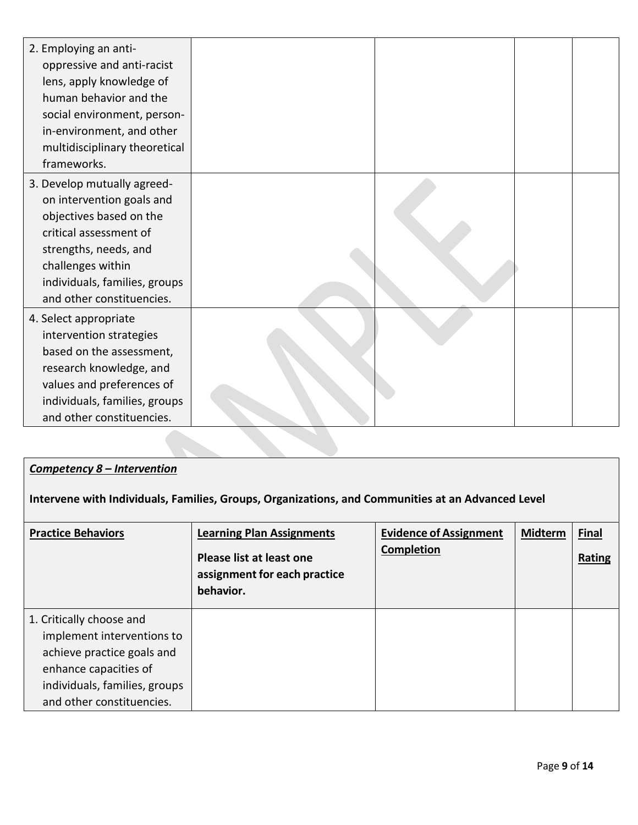| 2. Employing an anti-<br>oppressive and anti-racist<br>lens, apply knowledge of<br>human behavior and the<br>social environment, person-<br>in-environment, and other<br>multidisciplinary theoretical<br>frameworks.     |  |  |
|---------------------------------------------------------------------------------------------------------------------------------------------------------------------------------------------------------------------------|--|--|
| 3. Develop mutually agreed-<br>on intervention goals and<br>objectives based on the<br>critical assessment of<br>strengths, needs, and<br>challenges within<br>individuals, families, groups<br>and other constituencies. |  |  |
| 4. Select appropriate<br>intervention strategies<br>based on the assessment,<br>research knowledge, and<br>values and preferences of<br>individuals, families, groups<br>and other constituencies.                        |  |  |

### *Competency 8 – Intervention*

**Intervene with Individuals, Families, Groups, Organizations, and Communities at an Advanced Level**

| <b>Practice Behaviors</b>                                                                                     | <b>Learning Plan Assignments</b><br>Please list at least one<br>assignment for each practice<br>behavior. | <b>Evidence of Assignment</b><br><b>Completion</b> | <b>Midterm</b> | <b>Final</b><br>Rating |
|---------------------------------------------------------------------------------------------------------------|-----------------------------------------------------------------------------------------------------------|----------------------------------------------------|----------------|------------------------|
| 1. Critically choose and<br>implement interventions to<br>achieve practice goals and<br>enhance capacities of |                                                                                                           |                                                    |                |                        |
| individuals, families, groups<br>and other constituencies.                                                    |                                                                                                           |                                                    |                |                        |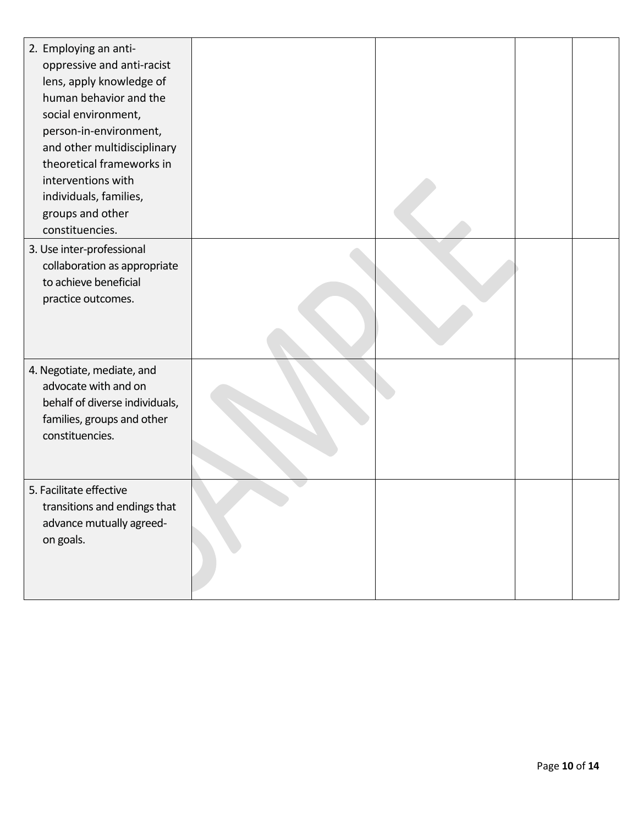| 2. Employing an anti-<br>oppressive and anti-racist<br>lens, apply knowledge of<br>human behavior and the<br>social environment,<br>person-in-environment,<br>and other multidisciplinary<br>theoretical frameworks in<br>interventions with<br>individuals, families,<br>groups and other<br>constituencies. |  |  |
|---------------------------------------------------------------------------------------------------------------------------------------------------------------------------------------------------------------------------------------------------------------------------------------------------------------|--|--|
| 3. Use inter-professional<br>collaboration as appropriate<br>to achieve beneficial<br>practice outcomes.                                                                                                                                                                                                      |  |  |
| 4. Negotiate, mediate, and<br>advocate with and on<br>behalf of diverse individuals,<br>families, groups and other<br>constituencies.                                                                                                                                                                         |  |  |
| 5. Facilitate effective<br>transitions and endings that<br>advance mutually agreed-<br>on goals.                                                                                                                                                                                                              |  |  |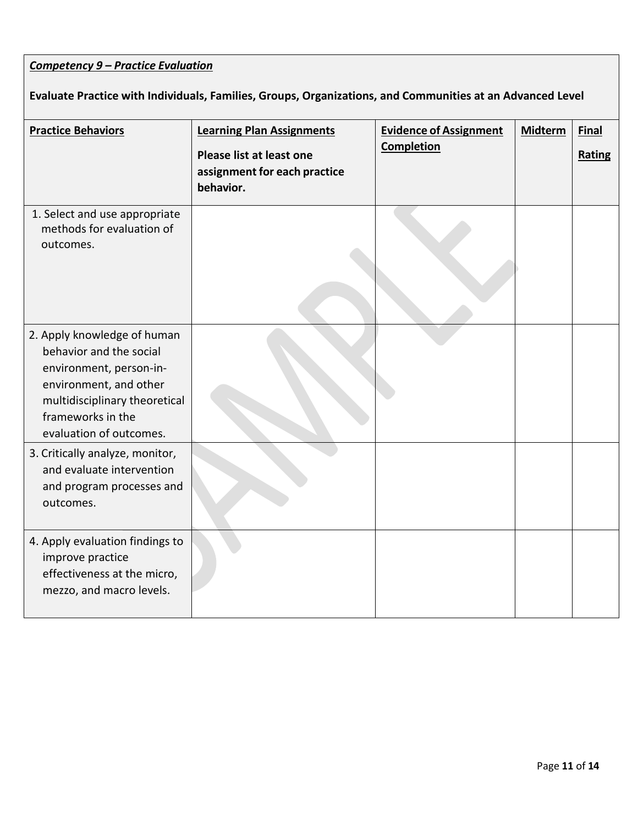# *Competency 9 – Practice Evaluation*

# **Evaluate Practice with Individuals, Families, Groups, Organizations, and Communities at an Advanced Level**

| <b>Practice Behaviors</b>                                                                                                                                                                    | <b>Learning Plan Assignments</b><br>Please list at least one<br>assignment for each practice<br>behavior. | <b>Evidence of Assignment</b><br>Completion | <b>Midterm</b> | <b>Final</b><br>Rating |
|----------------------------------------------------------------------------------------------------------------------------------------------------------------------------------------------|-----------------------------------------------------------------------------------------------------------|---------------------------------------------|----------------|------------------------|
| 1. Select and use appropriate<br>methods for evaluation of<br>outcomes.                                                                                                                      |                                                                                                           |                                             |                |                        |
| 2. Apply knowledge of human<br>behavior and the social<br>environment, person-in-<br>environment, and other<br>multidisciplinary theoretical<br>frameworks in the<br>evaluation of outcomes. |                                                                                                           |                                             |                |                        |
| 3. Critically analyze, monitor,<br>and evaluate intervention<br>and program processes and<br>outcomes.                                                                                       |                                                                                                           |                                             |                |                        |
| 4. Apply evaluation findings to<br>improve practice<br>effectiveness at the micro,<br>mezzo, and macro levels.                                                                               |                                                                                                           |                                             |                |                        |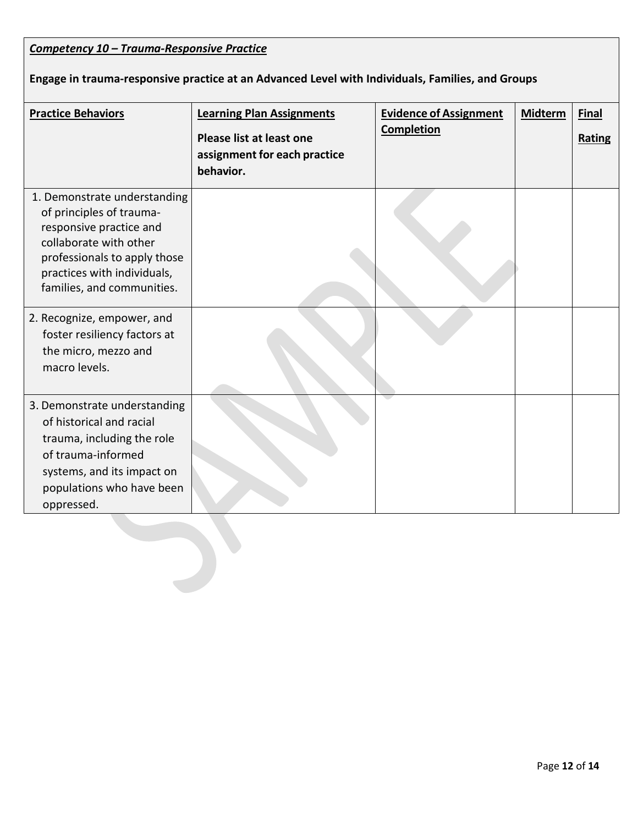| Competency 10 - Trauma-Responsive Practice                                                                                                                                                                 |                                                                                                           |                                                    |                |                        |  |  |  |
|------------------------------------------------------------------------------------------------------------------------------------------------------------------------------------------------------------|-----------------------------------------------------------------------------------------------------------|----------------------------------------------------|----------------|------------------------|--|--|--|
| Engage in trauma-responsive practice at an Advanced Level with Individuals, Families, and Groups                                                                                                           |                                                                                                           |                                                    |                |                        |  |  |  |
| <b>Practice Behaviors</b>                                                                                                                                                                                  | <b>Learning Plan Assignments</b><br>Please list at least one<br>assignment for each practice<br>behavior. | <b>Evidence of Assignment</b><br><b>Completion</b> | <b>Midterm</b> | <b>Final</b><br>Rating |  |  |  |
| 1. Demonstrate understanding<br>of principles of trauma-<br>responsive practice and<br>collaborate with other<br>professionals to apply those<br>practices with individuals,<br>families, and communities. |                                                                                                           |                                                    |                |                        |  |  |  |
| 2. Recognize, empower, and<br>foster resiliency factors at<br>the micro, mezzo and<br>macro levels.                                                                                                        |                                                                                                           |                                                    |                |                        |  |  |  |
| 3. Demonstrate understanding<br>of historical and racial<br>trauma, including the role<br>of trauma-informed<br>systems, and its impact on<br>populations who have been<br>oppressed.                      |                                                                                                           |                                                    |                |                        |  |  |  |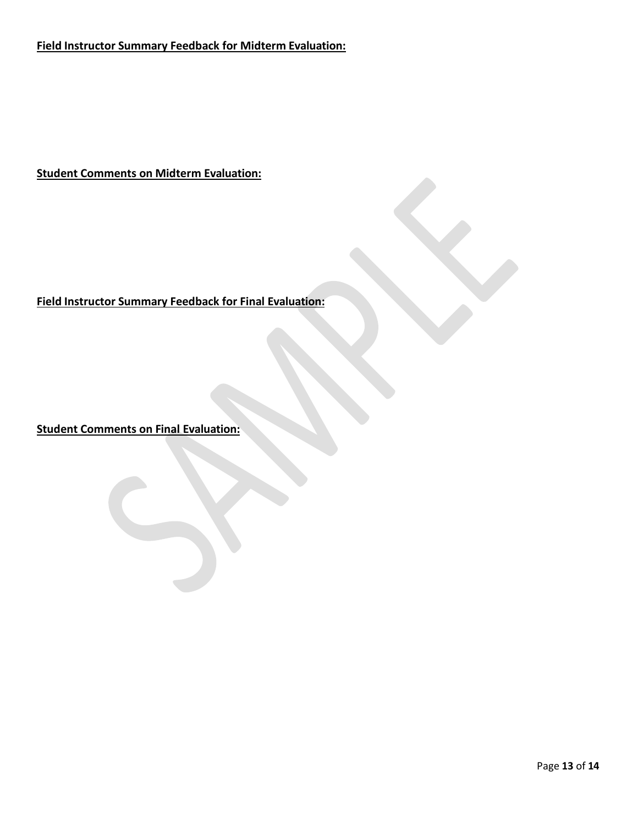**Field Instructor Summary Feedback for Midterm Evaluation:**

**Student Comments on Midterm Evaluation:**

## **Field Instructor Summary Feedback for Final Evaluation:**

**Student Comments on Final Evaluation:**